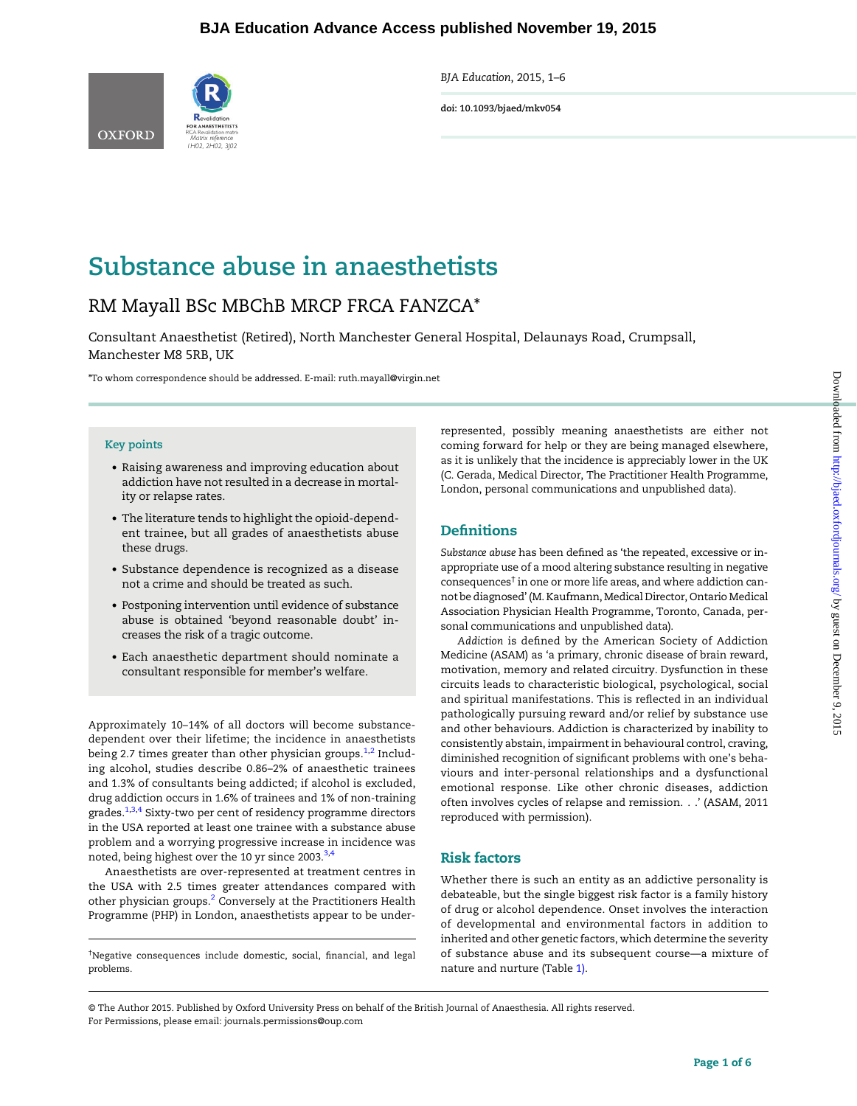

BJA Education, 2015, 1–6

doi: 10.1093/bjaed/mkv054

# Substance abuse in anaesthetists

## RM Mayall BSc MBChB MRCP FRCA FANZCA\*

Consultant Anaesthetist (Retired), North Manchester General Hospital, Delaunays Road, Crumpsall, Manchester M8 5RB, UK

\*To whom correspondence should be addressed. E-mail: ruth.mayall@virgin.net

#### Key points

- Raising awareness and improving education about addiction have not resulted in a decrease in mortality or relapse rates.
- The literature tends to highlight the opioid-dependent trainee, but all grades of anaesthetists abuse these drugs.
- Substance dependence is recognized as a disease not a crime and should be treated as such.
- Postponing intervention until evidence of substance abuse is obtained 'beyond reasonable doubt' increases the risk of a tragic outcome.
- Each anaesthetic department should nominate a consultant responsible for member's welfare.

Approximately 10–14% of all doctors will become substancedependent over their lifetime; the incidence in anaesthetists being 2.7 times greater than other physician groups.<sup>[1](#page-4-0),[2](#page-4-0)</sup> Including alcohol, studies describe 0.86–2% of anaesthetic trainees and 1.3% of consultants being addicted; if alcohol is excluded, drug addiction occurs in 1.6% of trainees and 1% of non-training grades.<sup>[1](#page-4-0),[3,4](#page-4-0)</sup> Sixty-two per cent of residency programme directors in the USA reported at least one trainee with a substance abuse problem and a worrying progressive increase in incidence was noted, being highest over the 10 yr since 2003.<sup>[3,4](#page-4-0)</sup>

Anaesthetists are over-represented at treatment centres in the USA with 2.5 times greater attendances compared with other physician groups.<sup>[2](#page-4-0)</sup> Conversely at the Practitioners Health Programme (PHP) in London, anaesthetists appear to be under-

† Negative consequences include domestic, social, financial, and legal problems.

represented, possibly meaning anaesthetists are either not coming forward for help or they are being managed elsewhere, as it is unlikely that the incidence is appreciably lower in the UK (C. Gerada, Medical Director, The Practitioner Health Programme, London, personal communications and unpublished data).

## **Definitions**

Substance abuse has been defined as 'the repeated, excessive or inappropriate use of a mood altering substance resulting in negative consequences† in one or more life areas, and where addiction cannot be diagnosed' (M. Kaufmann, Medical Director, Ontario Medical Association Physician Health Programme, Toronto, Canada, personal communications and unpublished data).

Addiction is defined by the American Society of Addiction Medicine (ASAM) as 'a primary, chronic disease of brain reward, motivation, memory and related circuitry. Dysfunction in these circuits leads to characteristic biological, psychological, social and spiritual manifestations. This is reflected in an individual pathologically pursuing reward and/or relief by substance use and other behaviours. Addiction is characterized by inability to consistently abstain, impairment in behavioural control, craving, diminished recognition of significant problems with one's behaviours and inter-personal relationships and a dysfunctional emotional response. Like other chronic diseases, addiction often involves cycles of relapse and remission. . .' (ASAM, 2011 reproduced with permission).

### Risk factors

Whether there is such an entity as an addictive personality is debateable, but the single biggest risk factor is a family history of drug or alcohol dependence. Onset involves the interaction of developmental and environmental factors in addition to inherited and other genetic factors, which determine the severity of substance abuse and its subsequent course—a mixture of nature and nurture (Table [1\)](#page-1-0).

© The Author 2015. Published by Oxford University Press on behalf of the British Journal of Anaesthesia. All rights reserved. For Permissions, please email: journals.permissions@oup.com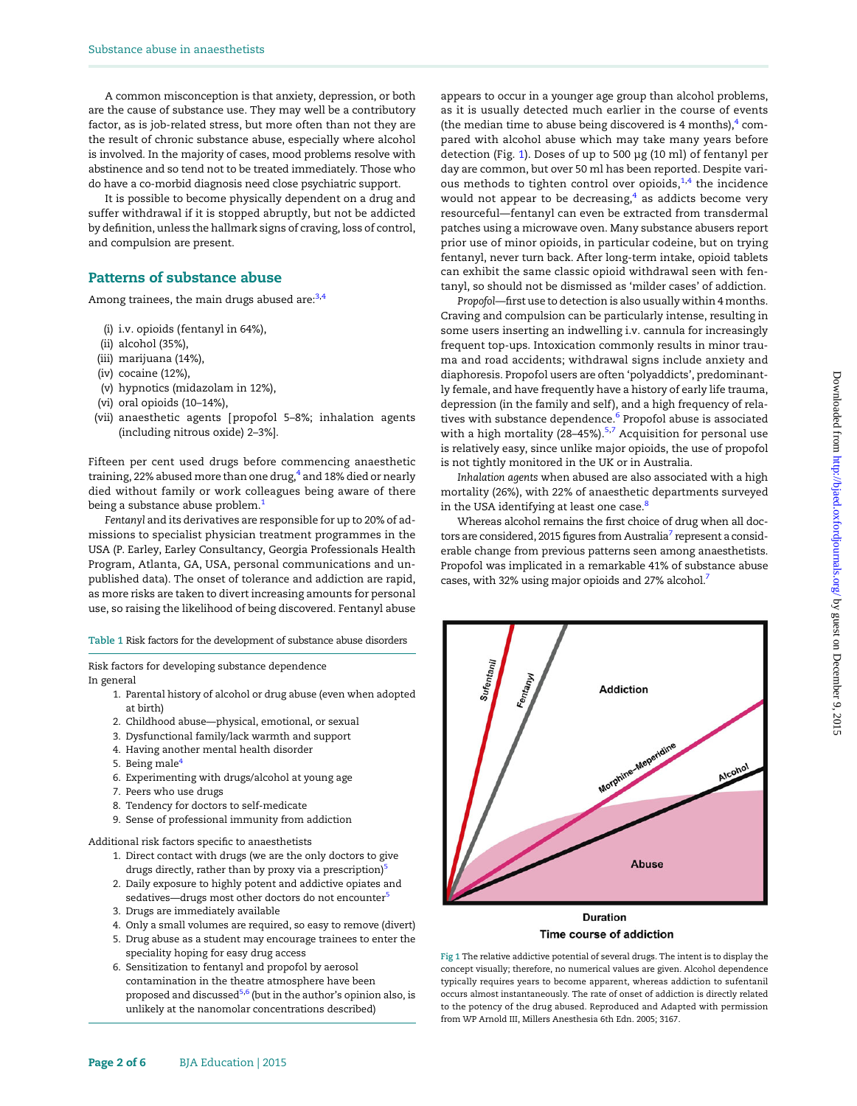<span id="page-1-0"></span>A common misconception is that anxiety, depression, or both are the cause of substance use. They may well be a contributory factor, as is job-related stress, but more often than not they are the result of chronic substance abuse, especially where alcohol is involved. In the majority of cases, mood problems resolve with abstinence and so tend not to be treated immediately. Those who do have a co-morbid diagnosis need close psychiatric support.

It is possible to become physically dependent on a drug and suffer withdrawal if it is stopped abruptly, but not be addicted by definition, unless the hallmark signs of craving, loss of control, and compulsion are present.

## Patterns of substance abuse

Among trainees, the main drugs abused are:<sup>3,[4](#page-4-0)</sup>

- (i) i.v. opioids (fentanyl in 64%),
- (ii) alcohol (35%),
- (iii) marijuana (14%),
- (iv) cocaine (12%),
- (v) hypnotics (midazolam in 12%),
- (vi) oral opioids (10–14%),
- (vii) anaesthetic agents [propofol 5–8%; inhalation agents (including nitrous oxide) 2–3%].

Fifteen per cent used drugs before commencing anaesthetic training, 22% abused more than one drug, $4$  and 18% died or nearly died without family or work colleagues being aware of there being a substance abuse problem.<sup>[1](#page-4-0)</sup>

Fentanyl and its derivatives are responsible for up to 20% of admissions to specialist physician treatment programmes in the USA (P. Earley, Earley Consultancy, Georgia Professionals Health Program, Atlanta, GA, USA, personal communications and unpublished data). The onset of tolerance and addiction are rapid, as more risks are taken to divert increasing amounts for personal use, so raising the likelihood of being discovered. Fentanyl abuse

#### Table 1 Risk factors for the development of substance abuse disorders

Risk factors for developing substance dependence In general

- 1. Parental history of alcohol or drug abuse (even when adopted at birth)
- 2. Childhood abuse—physical, emotional, or sexual
- 3. Dysfunctional family/lack warmth and support
- 4. Having another mental health disorder
- 5. Being male<sup>[4](#page-4-0)</sup>
- 6. Experimenting with drugs/alcohol at young age
- 7. Peers who use drugs
- 8. Tendency for doctors to self-medicate
- 9. Sense of professional immunity from addiction

Additional risk factors specific to anaesthetists

- 1. Direct contact with drugs (we are the only doctors to give drugs directly, rather than by proxy via a prescription)<sup>[5](#page-4-0)</sup>
- 2. Daily exposure to highly potent and addictive opiates and sedatives—drugs most other doctors do not encounter<sup>[5](#page-4-0)</sup>
- 3. Drugs are immediately available
- 4. Only a small volumes are required, so easy to remove (divert)
- 5. Drug abuse as a student may encourage trainees to enter the speciality hoping for easy drug access
- 6. Sensitization to fentanyl and propofol by aerosol contamination in the theatre atmosphere have been proposed and discussed<sup>5[,6](#page-5-0)</sup> (but in the author's opinion also, is unlikely at the nanomolar concentrations described)

appears to occur in a younger age group than alcohol problems, as it is usually detected much earlier in the course of events (the median time to abuse being discovered is [4](#page-4-0) months), $4 \text{ com}$ pared with alcohol abuse which may take many years before detection (Fig. 1). Doses of up to 500 µg (10 ml) of fentanyl per day are common, but over 50 ml has been reported. Despite various methods to tighten control over opioids, $1,4$  the incidence would not appear to be decreasing, $4$  as addicts become very resourceful—fentanyl can even be extracted from transdermal patches using a microwave oven. Many substance abusers report prior use of minor opioids, in particular codeine, but on trying fentanyl, never turn back. After long-term intake, opioid tablets can exhibit the same classic opioid withdrawal seen with fentanyl, so should not be dismissed as 'milder cases' of addiction.

Propofol—first use to detection is also usually within 4 months. Craving and compulsion can be particularly intense, resulting in some users inserting an indwelling i.v. cannula for increasingly frequent top-ups. Intoxication commonly results in minor trauma and road accidents; withdrawal signs include anxiety and diaphoresis. Propofol users are often 'polyaddicts', predominantly female, and have frequently have a history of early life trauma, depression (in the family and self), and a high frequency of rela-tives with substance dependence.<sup>[6](#page-5-0)</sup> Propofol abuse is associated with a high mortality (28–4[5](#page-4-0)%).<sup>5,[7](#page-5-0)</sup> Acquisition for personal use is relatively easy, since unlike major opioids, the use of propofol is not tightly monitored in the UK or in Australia.

Inhalation agents when abused are also associated with a high mortality (26%), with 22% of anaesthetic departments surveyed in the USA identifying at least one case.<sup>[8](#page-5-0)</sup>

Whereas alcohol remains the first choice of drug when all doctors are considered, 2015 figures from Australia<sup>7</sup> represent a considerable change from previous patterns seen among anaesthetists. Propofol was implicated in a remarkable 41% of substance abuse cases, with 32% using major opioids and 27% alcohol.<sup>7</sup>



Time course of addiction

Fig 1 The relative addictive potential of several drugs. The intent is to display the concept visually; therefore, no numerical values are given. Alcohol dependence typically requires years to become apparent, whereas addiction to sufentanil occurs almost instantaneously. The rate of onset of addiction is directly related to the potency of the drug abused. Reproduced and Adapted with permission from WP Arnold III, Millers Anesthesia 6th Edn. 2005; 3167.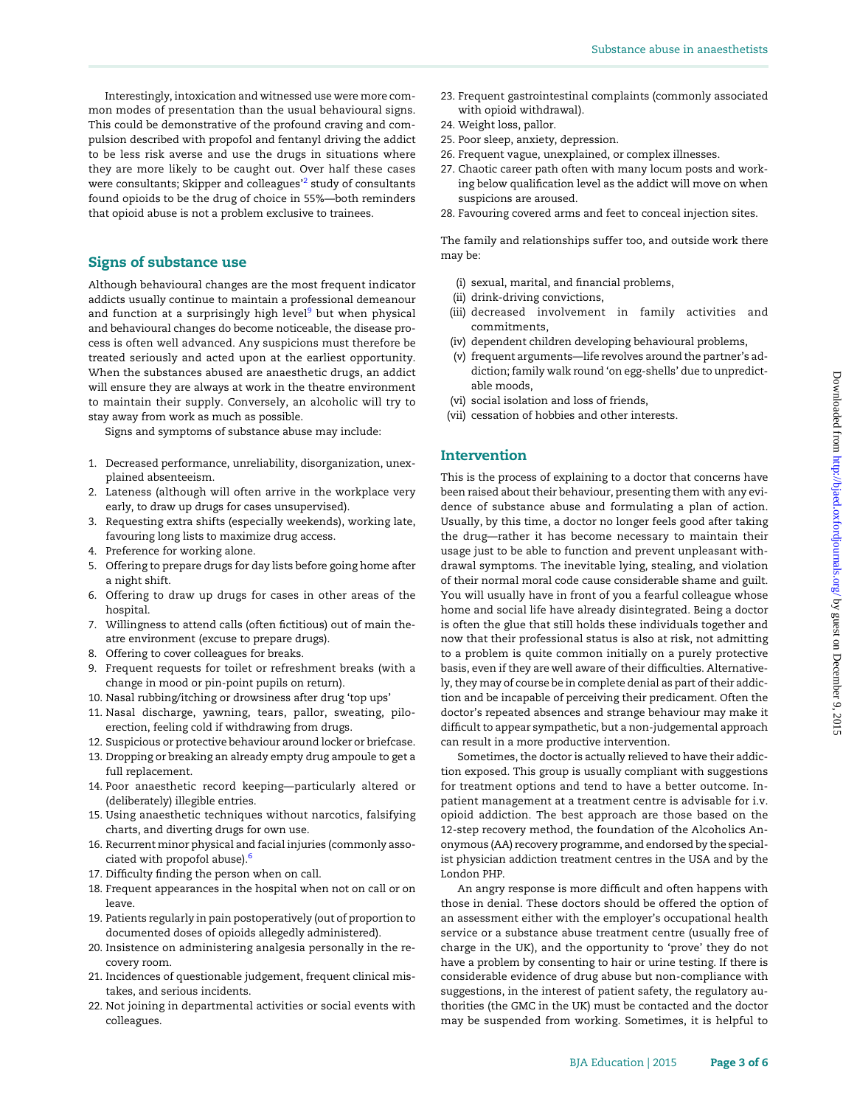Interestingly, intoxication and witnessed use were more common modes of presentation than the usual behavioural signs. This could be demonstrative of the profound craving and compulsion described with propofol and fentanyl driving the addict to be less risk averse and use the drugs in situations where they are more likely to be caught out. Over half these cases were consultants; Skipper and colleagues'<sup>[2](#page-4-0)</sup> study of consultants found opioids to be the drug of choice in 55%—both reminders that opioid abuse is not a problem exclusive to trainees.

## Signs of substance use

Although behavioural changes are the most frequent indicator addicts usually continue to maintain a professional demeanour and function at a surprisingly high level $9$  but when physical and behavioural changes do become noticeable, the disease process is often well advanced. Any suspicions must therefore be treated seriously and acted upon at the earliest opportunity. When the substances abused are anaesthetic drugs, an addict will ensure they are always at work in the theatre environment to maintain their supply. Conversely, an alcoholic will try to stay away from work as much as possible.

Signs and symptoms of substance abuse may include:

- 1. Decreased performance, unreliability, disorganization, unexplained absenteeism.
- 2. Lateness (although will often arrive in the workplace very early, to draw up drugs for cases unsupervised).
- 3. Requesting extra shifts (especially weekends), working late, favouring long lists to maximize drug access.
- 4. Preference for working alone.
- 5. Offering to prepare drugs for day lists before going home after a night shift.
- 6. Offering to draw up drugs for cases in other areas of the hospital.
- 7. Willingness to attend calls (often fictitious) out of main theatre environment (excuse to prepare drugs).
- 8. Offering to cover colleagues for breaks.
- 9. Frequent requests for toilet or refreshment breaks (with a change in mood or pin-point pupils on return).
- 10. Nasal rubbing/itching or drowsiness after drug 'top ups'
- 11. Nasal discharge, yawning, tears, pallor, sweating, piloerection, feeling cold if withdrawing from drugs.
- 12. Suspicious or protective behaviour around locker or briefcase.
- 13. Dropping or breaking an already empty drug ampoule to get a full replacement.
- 14. Poor anaesthetic record keeping—particularly altered or (deliberately) illegible entries.
- 15. Using anaesthetic techniques without narcotics, falsifying charts, and diverting drugs for own use.
- 16. Recurrent minor physical and facial injuries (commonly associated with propofol abuse).[6](#page-5-0)
- 17. Difficulty finding the person when on call.
- 18. Frequent appearances in the hospital when not on call or on leave.
- 19. Patients regularly in pain postoperatively (out of proportion to documented doses of opioids allegedly administered).
- 20. Insistence on administering analgesia personally in the recovery room.
- 21. Incidences of questionable judgement, frequent clinical mistakes, and serious incidents.
- 22. Not joining in departmental activities or social events with colleagues.
- 23. Frequent gastrointestinal complaints (commonly associated with opioid withdrawal).
- 24. Weight loss, pallor.
- 25. Poor sleep, anxiety, depression.
- 26. Frequent vague, unexplained, or complex illnesses.
- 27. Chaotic career path often with many locum posts and working below qualification level as the addict will move on when suspicions are aroused.
- 28. Favouring covered arms and feet to conceal injection sites.

The family and relationships suffer too, and outside work there may be:

- (i) sexual, marital, and financial problems,
- (ii) drink-driving convictions,
- (iii) decreased involvement in family activities and commitments,
- (iv) dependent children developing behavioural problems,
- (v) frequent arguments—life revolves around the partner's addiction; family walk round 'on egg-shells' due to unpredictable moods,
- (vi) social isolation and loss of friends,
- (vii) cessation of hobbies and other interests.

#### Intervention

This is the process of explaining to a doctor that concerns have been raised about their behaviour, presenting them with any evidence of substance abuse and formulating a plan of action. Usually, by this time, a doctor no longer feels good after taking the drug—rather it has become necessary to maintain their usage just to be able to function and prevent unpleasant withdrawal symptoms. The inevitable lying, stealing, and violation of their normal moral code cause considerable shame and guilt. You will usually have in front of you a fearful colleague whose home and social life have already disintegrated. Being a doctor is often the glue that still holds these individuals together and now that their professional status is also at risk, not admitting to a problem is quite common initially on a purely protective basis, even if they are well aware of their difficulties. Alternatively, they may of course be in complete denial as part of their addiction and be incapable of perceiving their predicament. Often the doctor's repeated absences and strange behaviour may make it difficult to appear sympathetic, but a non-judgemental approach can result in a more productive intervention.

Sometimes, the doctor is actually relieved to have their addiction exposed. This group is usually compliant with suggestions for treatment options and tend to have a better outcome. Inpatient management at a treatment centre is advisable for i.v. opioid addiction. The best approach are those based on the 12-step recovery method, the foundation of the Alcoholics Anonymous (AA) recovery programme, and endorsed by the specialist physician addiction treatment centres in the USA and by the London PHP.

An angry response is more difficult and often happens with those in denial. These doctors should be offered the option of an assessment either with the employer's occupational health service or a substance abuse treatment centre (usually free of charge in the UK), and the opportunity to 'prove' they do not have a problem by consenting to hair or urine testing. If there is considerable evidence of drug abuse but non-compliance with suggestions, in the interest of patient safety, the regulatory authorities (the GMC in the UK) must be contacted and the doctor may be suspended from working. Sometimes, it is helpful to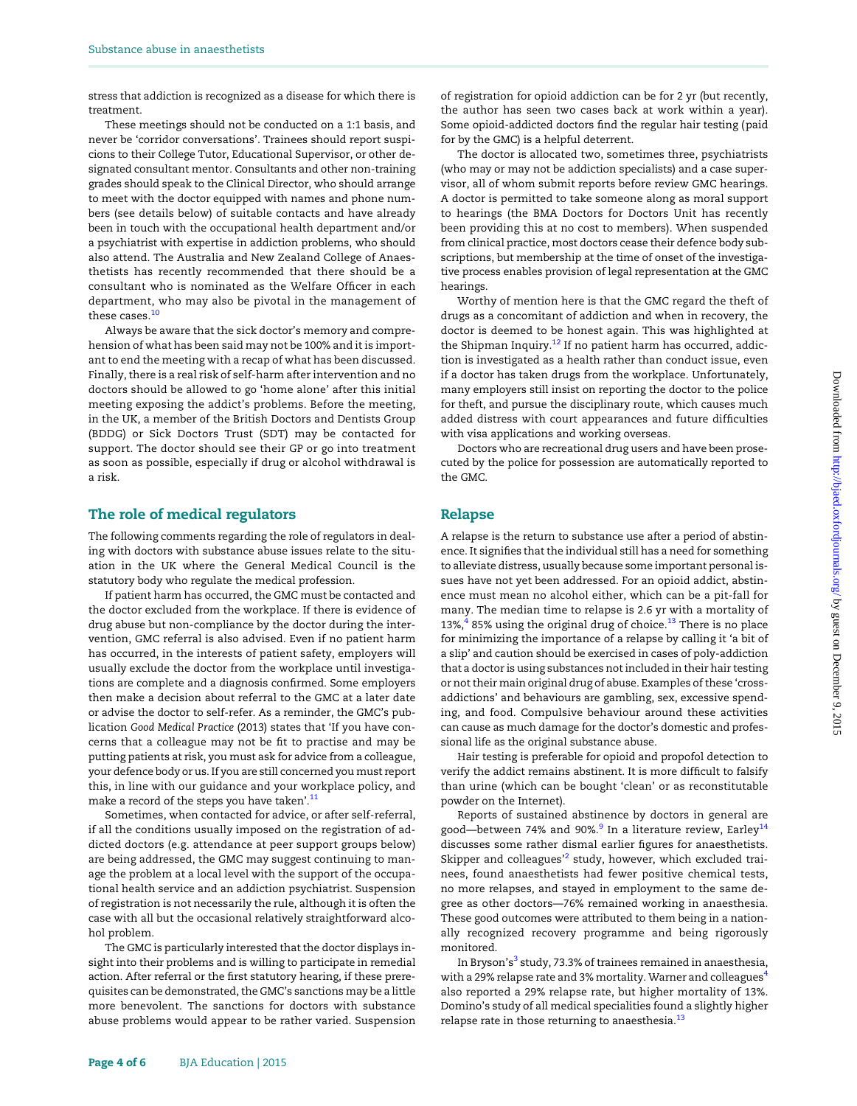stress that addiction is recognized as a disease for which there is treatment.

These meetings should not be conducted on a 1:1 basis, and never be 'corridor conversations'. Trainees should report suspicions to their College Tutor, Educational Supervisor, or other designated consultant mentor. Consultants and other non-training grades should speak to the Clinical Director, who should arrange to meet with the doctor equipped with names and phone numbers (see details below) of suitable contacts and have already been in touch with the occupational health department and/or a psychiatrist with expertise in addiction problems, who should also attend. The Australia and New Zealand College of Anaesthetists has recently recommended that there should be a consultant who is nominated as the Welfare Officer in each department, who may also be pivotal in the management of these cases.<sup>[10](#page-5-0)</sup>

Always be aware that the sick doctor's memory and comprehension of what has been said may not be 100% and it is important to end the meeting with a recap of what has been discussed. Finally, there is a real risk of self-harm after intervention and no doctors should be allowed to go 'home alone' after this initial meeting exposing the addict's problems. Before the meeting, in the UK, a member of the British Doctors and Dentists Group (BDDG) or Sick Doctors Trust (SDT) may be contacted for support. The doctor should see their GP or go into treatment as soon as possible, especially if drug or alcohol withdrawal is a risk.

## The role of medical regulators

The following comments regarding the role of regulators in dealing with doctors with substance abuse issues relate to the situation in the UK where the General Medical Council is the statutory body who regulate the medical profession.

If patient harm has occurred, the GMC must be contacted and the doctor excluded from the workplace. If there is evidence of drug abuse but non-compliance by the doctor during the intervention, GMC referral is also advised. Even if no patient harm has occurred, in the interests of patient safety, employers will usually exclude the doctor from the workplace until investigations are complete and a diagnosis confirmed. Some employers then make a decision about referral to the GMC at a later date or advise the doctor to self-refer. As a reminder, the GMC's publication Good Medical Practice (2013) states that 'If you have concerns that a colleague may not be fit to practise and may be putting patients at risk, you must ask for advice from a colleague, your defence body or us. If you are still concerned you must report this, in line with our guidance and your workplace policy, and make a record of the steps you have taken'.<sup>[11](#page-5-0)</sup>

Sometimes, when contacted for advice, or after self-referral, if all the conditions usually imposed on the registration of addicted doctors (e.g. attendance at peer support groups below) are being addressed, the GMC may suggest continuing to manage the problem at a local level with the support of the occupational health service and an addiction psychiatrist. Suspension of registration is not necessarily the rule, although it is often the case with all but the occasional relatively straightforward alcohol problem.

The GMC is particularly interested that the doctor displays insight into their problems and is willing to participate in remedial action. After referral or the first statutory hearing, if these prerequisites can be demonstrated, the GMC's sanctions may be a little more benevolent. The sanctions for doctors with substance abuse problems would appear to be rather varied. Suspension of registration for opioid addiction can be for 2 yr (but recently, the author has seen two cases back at work within a year). Some opioid-addicted doctors find the regular hair testing (paid for by the GMC) is a helpful deterrent.

The doctor is allocated two, sometimes three, psychiatrists (who may or may not be addiction specialists) and a case supervisor, all of whom submit reports before review GMC hearings. A doctor is permitted to take someone along as moral support to hearings (the BMA Doctors for Doctors Unit has recently been providing this at no cost to members). When suspended from clinical practice, most doctors cease their defence body subscriptions, but membership at the time of onset of the investigative process enables provision of legal representation at the GMC hearings.

Worthy of mention here is that the GMC regard the theft of drugs as a concomitant of addiction and when in recovery, the doctor is deemed to be honest again. This was highlighted at the Shipman Inquiry.<sup>[12](#page-5-0)</sup> If no patient harm has occurred, addiction is investigated as a health rather than conduct issue, even if a doctor has taken drugs from the workplace. Unfortunately, many employers still insist on reporting the doctor to the police for theft, and pursue the disciplinary route, which causes much added distress with court appearances and future difficulties with visa applications and working overseas.

Doctors who are recreational drug users and have been prosecuted by the police for possession are automatically reported to the GMC.

#### Relapse

A relapse is the return to substance use after a period of abstinence. It signifies that the individual still has a need for something to alleviate distress, usually because some important personal issues have not yet been addressed. For an opioid addict, abstinence must mean no alcohol either, which can be a pit-fall for many. The median time to relapse is 2.6 yr with a mortality of [13](#page-5-0)%, $4$  85% using the original drug of choice.<sup>13</sup> There is no place for minimizing the importance of a relapse by calling it 'a bit of a slip' and caution should be exercised in cases of poly-addiction that a doctor is using substances not included in their hair testing or not their main original drug of abuse. Examples of these 'crossaddictions' and behaviours are gambling, sex, excessive spending, and food. Compulsive behaviour around these activities can cause as much damage for the doctor's domestic and professional life as the original substance abuse.

Hair testing is preferable for opioid and propofol detection to verify the addict remains abstinent. It is more difficult to falsify than urine (which can be bought 'clean' or as reconstitutable powder on the Internet).

Reports of sustained abstinence by doctors in general are good—between 74% and [9](#page-5-0)0%.<sup>9</sup> In a literature review, Earley<sup>[14](#page-5-0)</sup> discusses some rather dismal earlier figures for anaesthetists. Skipper and colleagues'<sup>[2](#page-4-0)</sup> study, however, which excluded trainees, found anaesthetists had fewer positive chemical tests, no more relapses, and stayed in employment to the same degree as other doctors—76% remained working in anaesthesia. These good outcomes were attributed to them being in a nationally recognized recovery programme and being rigorously monitored.

In Bryson's<sup>3</sup> study, 73.3% of trainees remained in anaesthesia, with a 29% relapse rate and 3% mortality. Warner and colleagues<sup>[4](#page-4-0)</sup> also reported a 29% relapse rate, but higher mortality of 13%. Domino's study of all medical specialities found a slightly higher relapse rate in those returning to anaesthesia.<sup>[13](#page-5-0)</sup>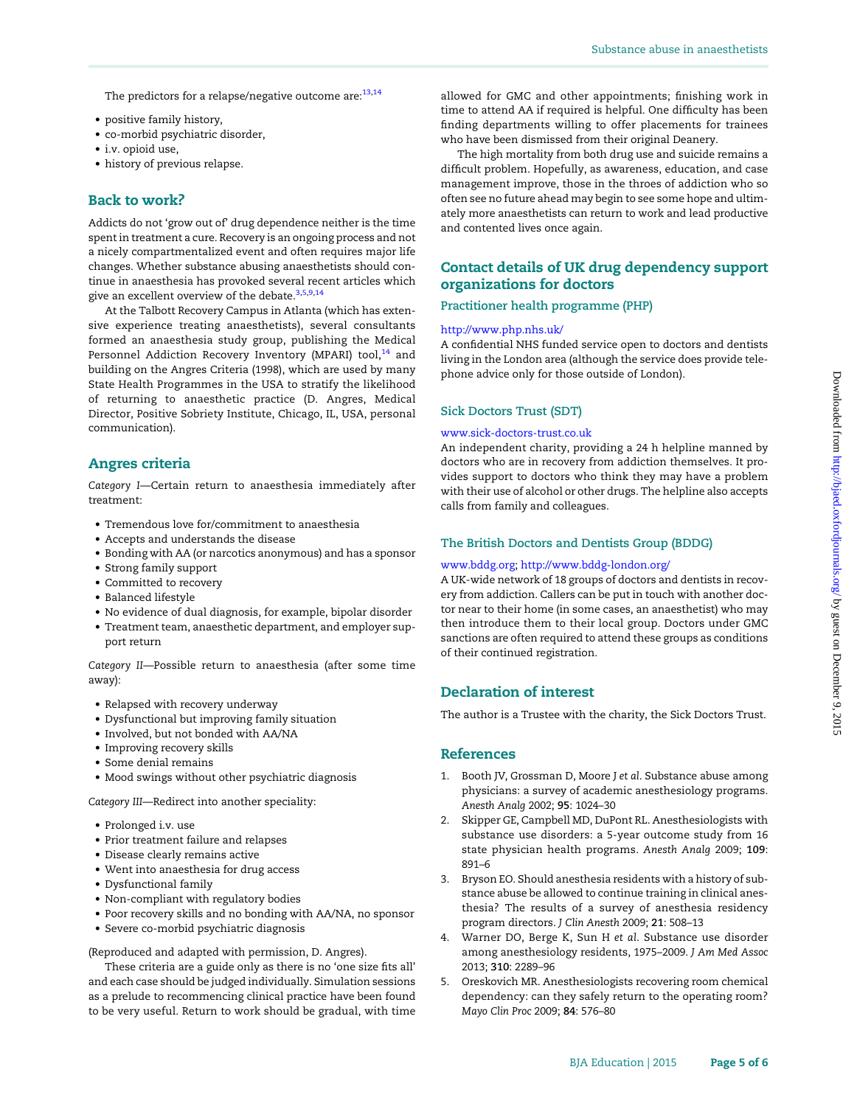<span id="page-4-0"></span>The predictors for a relapse/negative outcome are: $13,14$  $13,14$  $13,14$ 

- positive family history,
- co-morbid psychiatric disorder,
- i.v. opioid use,
- history of previous relapse.

## Back to work?

Addicts do not 'grow out of' drug dependence neither is the time spent in treatment a cure. Recovery is an ongoing process and not a nicely compartmentalized event and often requires major life changes. Whether substance abusing anaesthetists should continue in anaesthesia has provoked several recent articles which give an excellent overview of the debate.<sup>3,5,[9,14](#page-5-0)</sup>

At the Talbott Recovery Campus in Atlanta (which has extensive experience treating anaesthetists), several consultants formed an anaesthesia study group, publishing the Medical Personnel Addiction Recovery Inventory (MPARI) tool, $^{14}$  $^{14}$  $^{14}$  and building on the Angres Criteria (1998), which are used by many State Health Programmes in the USA to stratify the likelihood of returning to anaesthetic practice (D. Angres, Medical Director, Positive Sobriety Institute, Chicago, IL, USA, personal communication).

## Angres criteria

Category I—Certain return to anaesthesia immediately after treatment:

- Tremendous love for/commitment to anaesthesia
- Accepts and understands the disease
- Bonding with AA (or narcotics anonymous) and has a sponsor
- Strong family support
- Committed to recovery
- Balanced lifestyle
- No evidence of dual diagnosis, for example, bipolar disorder • Treatment team, anaesthetic department, and employer sup-
- port return

Category II—Possible return to anaesthesia (after some time away):

- Relapsed with recovery underway
- Dysfunctional but improving family situation
- Involved, but not bonded with AA/NA
- Improving recovery skills
- Some denial remains
- Mood swings without other psychiatric diagnosis

Category III—Redirect into another speciality:

- Prolonged i.v. use
- Prior treatment failure and relapses
- Disease clearly remains active
- Went into anaesthesia for drug access
- Dysfunctional family
- Non-compliant with regulatory bodies
- Poor recovery skills and no bonding with AA/NA, no sponsor
- Severe co-morbid psychiatric diagnosis

(Reproduced and adapted with permission, D. Angres).

These criteria are a guide only as there is no 'one size fits all' and each case should be judged individually. Simulation sessions as a prelude to recommencing clinical practice have been found to be very useful. Return to work should be gradual, with time allowed for GMC and other appointments; finishing work in time to attend AA if required is helpful. One difficulty has been finding departments willing to offer placements for trainees who have been dismissed from their original Deanery.

The high mortality from both drug use and suicide remains a difficult problem. Hopefully, as awareness, education, and case management improve, those in the throes of addiction who so often see no future ahead may begin to see some hope and ultimately more anaesthetists can return to work and lead productive and contented lives once again.

## Contact details of UK drug dependency support organizations for doctors

#### Practitioner health programme (PHP)

#### <http://www.php.nhs.uk/>

A confidential NHS funded service open to doctors and dentists living in the London area (although the service does provide telephone advice only for those outside of London).

#### Sick Doctors Trust (SDT)

#### <www.sick-doctors-trust.co.uk>

An independent charity, providing a 24 h helpline manned by doctors who are in recovery from addiction themselves. It provides support to doctors who think they may have a problem with their use of alcohol or other drugs. The helpline also accepts calls from family and colleagues.

### The British Doctors and Dentists Group (BDDG)

#### <www.bddg.org>; <http://www.bddg-london.org/>

A UK-wide network of 18 groups of doctors and dentists in recovery from addiction. Callers can be put in touch with another doctor near to their home (in some cases, an anaesthetist) who may then introduce them to their local group. Doctors under GMC sanctions are often required to attend these groups as conditions of their continued registration.

## Declaration of interest

The author is a Trustee with the charity, the Sick Doctors Trust.

### References

- 1. Booth JV, Grossman D, Moore J et al. Substance abuse among physicians: a survey of academic anesthesiology programs. Anesth Analg 2002; 95: 1024–30
- 2. Skipper GE, Campbell MD, DuPont RL. Anesthesiologists with substance use disorders: a 5-year outcome study from 16 state physician health programs. Anesth Analg 2009; 109: 891–6
- 3. Bryson EO. Should anesthesia residents with a history of substance abuse be allowed to continue training in clinical anesthesia? The results of a survey of anesthesia residency program directors. J Clin Anesth 2009; 21: 508–13
- 4. Warner DO, Berge K, Sun H et al. Substance use disorder among anesthesiology residents, 1975–2009. J Am Med Assoc 2013; 310: 2289–96
- 5. Oreskovich MR. Anesthesiologists recovering room chemical dependency: can they safely return to the operating room? Mayo Clin Proc 2009; 84: 576–80